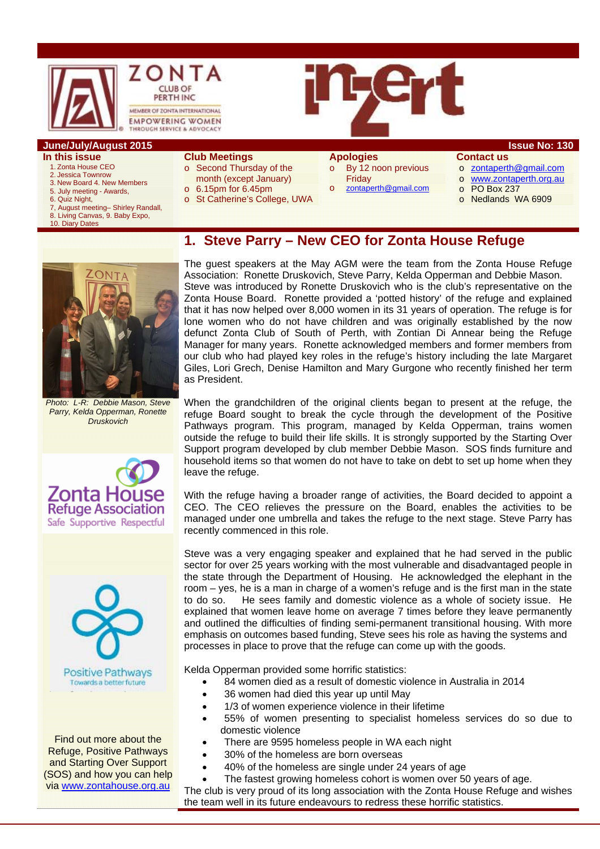

- **In this issue** 
	- 1. Zonta House CEO 2. Jessica Townrow
	- 3. New Board 4. New Members
	- 5. July meeting Awards,
	- 6. Quiz Night,
	- 7, August meeting– Shirley Randall,
- 8. Living Canvas, 9. Baby Expo, 10. Diary Dates
- **Club Meetings**  o Second Thursday of the month (except January)
- 
- o 6.15pm for 6.45pm
- o St Catherine's College, UWA

# **Apologies**

- o By 12 noon previous Friday
	- zontaperth@gmail.com
- o zontaperth@gmail.com o www.zontaperth.org.au
- o PO Box 237
- o Nedlands WA 6909

### **1. Steve Parry – New CEO for Zonta House Refuge**



*Photo: L-R: Debbie Mason, Steve Parry, Kelda Opperman, Ronette Druskovich* 





Find out more about the Refuge, Positive Pathways and Starting Over Support (SOS) and how you can help via www.zontahouse.org.au

The guest speakers at the May AGM were the team from the Zonta House Refuge Association: Ronette Druskovich, Steve Parry, Kelda Opperman and Debbie Mason. Steve was introduced by Ronette Druskovich who is the club's representative on the Zonta House Board. Ronette provided a 'potted history' of the refuge and explained that it has now helped over 8,000 women in its 31 years of operation. The refuge is for lone women who do not have children and was originally established by the now defunct Zonta Club of South of Perth, with Zontian Di Annear being the Refuge Manager for many years. Ronette acknowledged members and former members from our club who had played key roles in the refuge's history including the late Margaret Giles, Lori Grech, Denise Hamilton and Mary Gurgone who recently finished her term as President.

When the grandchildren of the original clients began to present at the refuge, the refuge Board sought to break the cycle through the development of the Positive Pathways program. This program, managed by Kelda Opperman, trains women outside the refuge to build their life skills. It is strongly supported by the Starting Over Support program developed by club member Debbie Mason. SOS finds furniture and household items so that women do not have to take on debt to set up home when they leave the refuge.

With the refuge having a broader range of activities, the Board decided to appoint a CEO. The CEO relieves the pressure on the Board, enables the activities to be managed under one umbrella and takes the refuge to the next stage. Steve Parry has recently commenced in this role.

Steve was a very engaging speaker and explained that he had served in the public sector for over 25 years working with the most vulnerable and disadvantaged people in the state through the Department of Housing. He acknowledged the elephant in the room – yes, he is a man in charge of a women's refuge and is the first man in the state to do so. He sees family and domestic violence as a whole of society issue. He explained that women leave home on average 7 times before they leave permanently and outlined the difficulties of finding semi-permanent transitional housing. With more emphasis on outcomes based funding, Steve sees his role as having the systems and processes in place to prove that the refuge can come up with the goods.

Kelda Opperman provided some horrific statistics:

- 84 women died as a result of domestic violence in Australia in 2014
- 36 women had died this year up until May
- 1/3 of women experience violence in their lifetime
- 55% of women presenting to specialist homeless services do so due to domestic violence
- There are 9595 homeless people in WA each night
- 30% of the homeless are born overseas
- 40% of the homeless are single under 24 years of age

 The fastest growing homeless cohort is women over 50 years of age. The club is very proud of its long association with the Zonta House Refuge and wishes the team well in its future endeavours to redress these horrific statistics.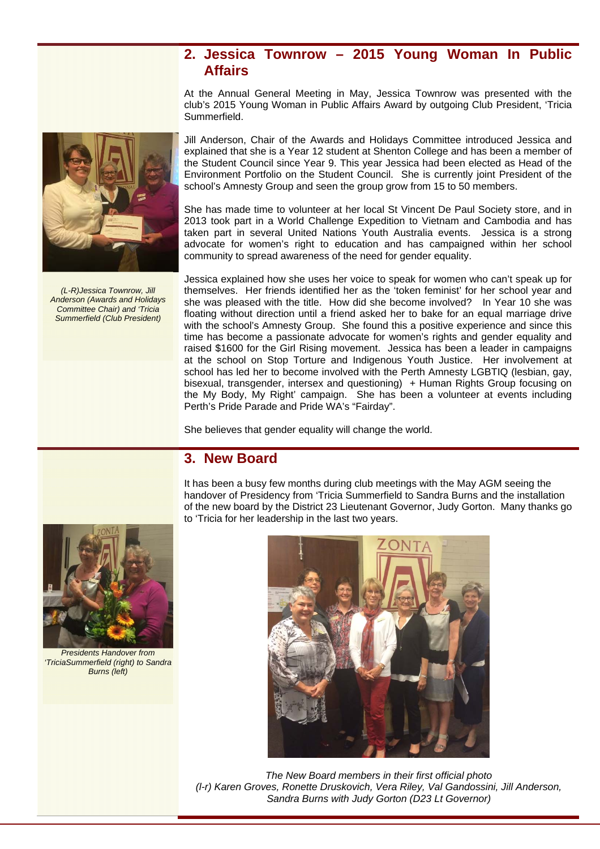### **2. Jessica Townrow – 2015 Young Woman In Public Affairs**

At the Annual General Meeting in May, Jessica Townrow was presented with the club's 2015 Young Woman in Public Affairs Award by outgoing Club President, 'Tricia Summerfield.

Jill Anderson, Chair of the Awards and Holidays Committee introduced Jessica and explained that she is a Year 12 student at Shenton College and has been a member of the Student Council since Year 9. This year Jessica had been elected as Head of the Environment Portfolio on the Student Council. She is currently joint President of the school's Amnesty Group and seen the group grow from 15 to 50 members.

She has made time to volunteer at her local St Vincent De Paul Society store, and in 2013 took part in a World Challenge Expedition to Vietnam and Cambodia and has taken part in several United Nations Youth Australia events. Jessica is a strong advocate for women's right to education and has campaigned within her school community to spread awareness of the need for gender equality.

Jessica explained how she uses her voice to speak for women who can't speak up for themselves. Her friends identified her as the 'token feminist' for her school year and she was pleased with the title. How did she become involved? In Year 10 she was floating without direction until a friend asked her to bake for an equal marriage drive with the school's Amnesty Group. She found this a positive experience and since this time has become a passionate advocate for women's rights and gender equality and raised \$1600 for the Girl Rising movement. Jessica has been a leader in campaigns at the school on Stop Torture and Indigenous Youth Justice. Her involvement at school has led her to become involved with the Perth Amnesty LGBTIQ (lesbian, gay, bisexual, transgender, intersex and questioning) + Human Rights Group focusing on the My Body, My Right' campaign. She has been a volunteer at events including Perth's Pride Parade and Pride WA's "Fairday".

She believes that gender equality will change the world.

### **3. New Board**

It has been a busy few months during club meetings with the May AGM seeing the handover of Presidency from 'Tricia Summerfield to Sandra Burns and the installation of the new board by the District 23 Lieutenant Governor, Judy Gorton. Many thanks go to 'Tricia for her leadership in the last two years.



 *Presidents Handover from 'TriciaSummerfield (right) to Sandra Burns (left)* 



*The New Board members in their first official photo (l-r) Karen Groves, Ronette Druskovich, Vera Riley, Val Gandossini, Jill Anderson, Sandra Burns with Judy Gorton (D23 Lt Governor)* 



*(L-R)Jessica Townrow, Jill Anderson (Awards and Holidays Committee Chair) and 'Tricia Summerfield (Club President)*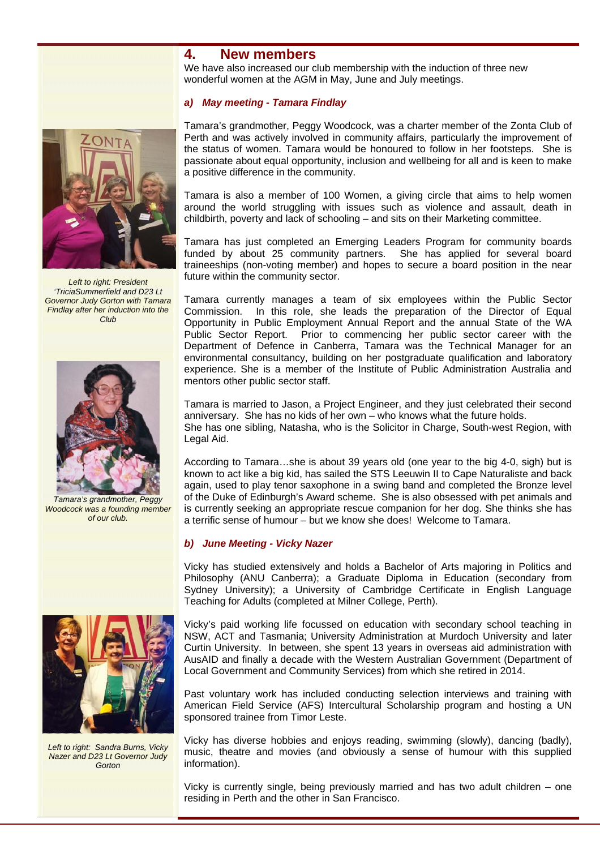### **4. New members**

We have also increased our club membership with the induction of three new wonderful women at the AGM in May, June and July meetings.

#### *a) May meeting - Tamara Findlay*



*Left to right: President 'TriciaSummerfield and D23 Lt Governor Judy Gorton with Tamara Findlay after her induction into the Club* 



*Tamara's grandmother, Peggy Woodcock was a founding member of our club.* 



*Left to right: Sandra Burns, Vicky Nazer and D23 Lt Governor Judy Gorton* 

Tamara's grandmother, Peggy Woodcock, was a charter member of the Zonta Club of Perth and was actively involved in community affairs, particularly the improvement of the status of women. Tamara would be honoured to follow in her footsteps. She is passionate about equal opportunity, inclusion and wellbeing for all and is keen to make a positive difference in the community.

Tamara is also a member of 100 Women, a giving circle that aims to help women around the world struggling with issues such as violence and assault, death in childbirth, poverty and lack of schooling – and sits on their Marketing committee.

Tamara has just completed an Emerging Leaders Program for community boards funded by about 25 community partners. She has applied for several board traineeships (non-voting member) and hopes to secure a board position in the near future within the community sector.

Tamara currently manages a team of six employees within the Public Sector Commission. In this role, she leads the preparation of the Director of Equal Opportunity in Public Employment Annual Report and the annual State of the WA Public Sector Report. Prior to commencing her public sector career with the Department of Defence in Canberra, Tamara was the Technical Manager for an environmental consultancy, building on her postgraduate qualification and laboratory experience. She is a member of the Institute of Public Administration Australia and mentors other public sector staff.

Tamara is married to Jason, a Project Engineer, and they just celebrated their second anniversary. She has no kids of her own – who knows what the future holds. She has one sibling, Natasha, who is the Solicitor in Charge, South-west Region, with Legal Aid.

According to Tamara…she is about 39 years old (one year to the big 4-0, sigh) but is known to act like a big kid, has sailed the STS Leeuwin II to Cape Naturaliste and back again, used to play tenor saxophone in a swing band and completed the Bronze level of the Duke of Edinburgh's Award scheme. She is also obsessed with pet animals and is currently seeking an appropriate rescue companion for her dog. She thinks she has a terrific sense of humour – but we know she does! Welcome to Tamara.

#### *b) June Meeting - Vicky Nazer*

Vicky has studied extensively and holds a Bachelor of Arts majoring in Politics and Philosophy (ANU Canberra); a Graduate Diploma in Education (secondary from Sydney University); a University of Cambridge Certificate in English Language Teaching for Adults (completed at Milner College, Perth).

Vicky's paid working life focussed on education with secondary school teaching in NSW, ACT and Tasmania; University Administration at Murdoch University and later Curtin University. In between, she spent 13 years in overseas aid administration with AusAID and finally a decade with the Western Australian Government (Department of Local Government and Community Services) from which she retired in 2014.

Past voluntary work has included conducting selection interviews and training with American Field Service (AFS) Intercultural Scholarship program and hosting a UN sponsored trainee from Timor Leste.

Vicky has diverse hobbies and enjoys reading, swimming (slowly), dancing (badly), music, theatre and movies (and obviously a sense of humour with this supplied information).

Vicky is currently single, being previously married and has two adult children – one residing in Perth and the other in San Francisco.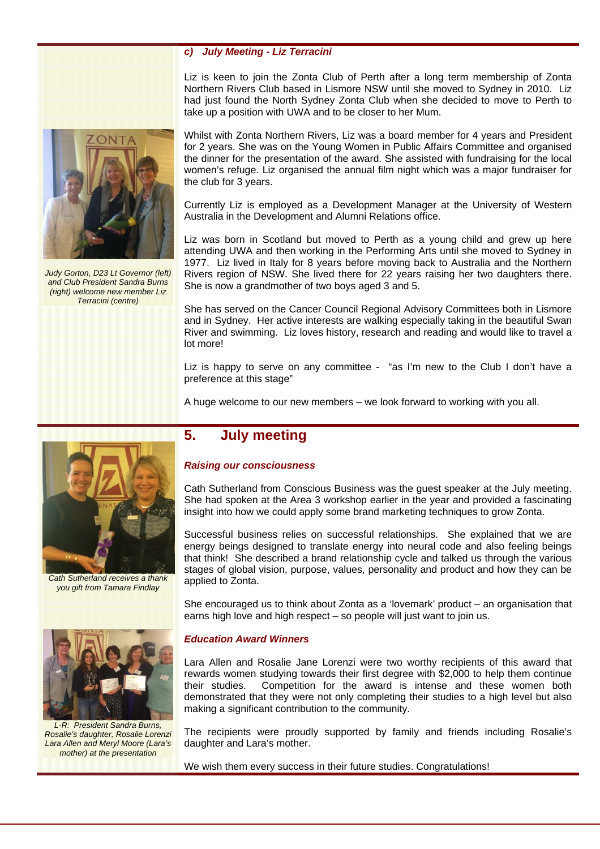#### *c) July Meeting - Liz Terracini*

Liz is keen to join the Zonta Club of Perth after a long term membership of Zonta Northern Rivers Club based in Lismore NSW until she moved to Sydney in 2010. Liz had just found the North Sydney Zonta Club when she decided to move to Perth to take up a position with UWA and to be closer to her Mum.

Whilst with Zonta Northern Rivers, Liz was a board member for 4 years and President for 2 years. She was on the Young Women in Public Affairs Committee and organised the dinner for the presentation of the award. She assisted with fundraising for the local women's refuge. Liz organised the annual film night which was a major fundraiser for the club for 3 years.

Currently Liz is employed as a Development Manager at the University of Western Australia in the Development and Alumni Relations office.

Liz was born in Scotland but moved to Perth as a young child and grew up here attending UWA and then working in the Performing Arts until she moved to Sydney in 1977. Liz lived in Italy for 8 years before moving back to Australia and the Northern Rivers region of NSW. She lived there for 22 years raising her two daughters there. She is now a grandmother of two boys aged 3 and 5.

She has served on the Cancer Council Regional Advisory Committees both in Lismore and in Sydney. Her active interests are walking especially taking in the beautiful Swan River and swimming. Liz loves history, research and reading and would like to travel a lot more!

Liz is happy to serve on any committee - "as I'm new to the Club I don't have a preference at this stage"

A huge welcome to our new members – we look forward to working with you all.

# **5. July meeting**

#### *Raising our consciousness*

Cath Sutherland from Conscious Business was the guest speaker at the July meeting. She had spoken at the Area 3 workshop earlier in the year and provided a fascinating insight into how we could apply some brand marketing techniques to grow Zonta.

Successful business relies on successful relationships. She explained that we are energy beings designed to translate energy into neural code and also feeling beings that think! She described a brand relationship cycle and talked us through the various stages of global vision, purpose, values, personality and product and how they can be applied to Zonta.

She encouraged us to think about Zonta as a 'lovemark' product – an organisation that earns high love and high respect – so people will just want to join us.

#### *Education Award Winners*

Lara Allen and Rosalie Jane Lorenzi were two worthy recipients of this award that rewards women studying towards their first degree with \$2,000 to help them continue their studies. Competition for the award is intense and these women both demonstrated that they were not only completing their studies to a high level but also making a significant contribution to the community.

The recipients were proudly supported by family and friends including Rosalie's daughter and Lara's mother.

We wish them every success in their future studies. Congratulations!



*Cath Sutherland receives a thank you gift from Tamara Findlay* 



*L-R: President Sandra Burns, Rosalie's daughter, Rosalie Lorenzi Lara Allen and Meryl Moore (Lara's mother) at the presentation* 



*Judy Gorton, D23 Lt Governor (left) and Club President Sandra Burns (right) welcome new member Liz Terracini (centre)*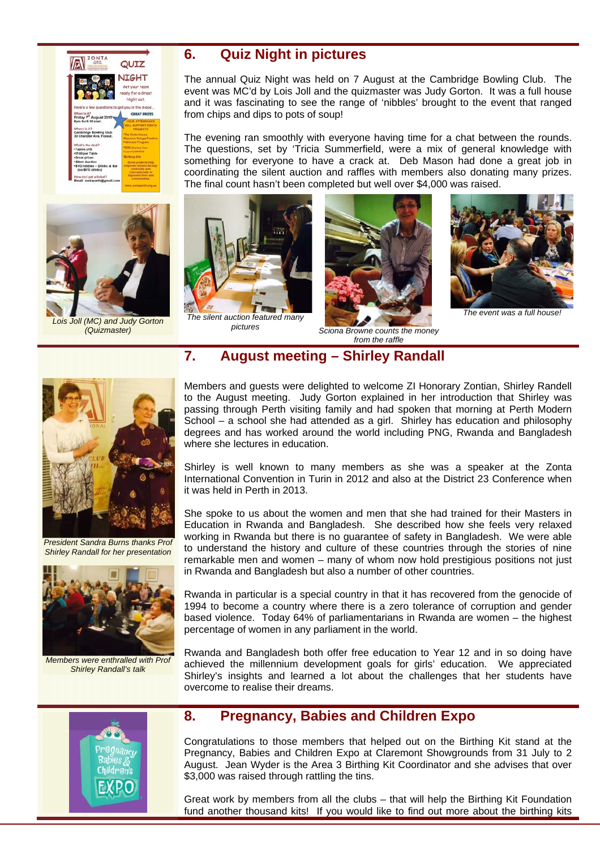



*Lois Joll (MC) and Judy Gorton (Quizmaster)*

## **6. Quiz Night in pictures**

The annual Quiz Night was held on 7 August at the Cambridge Bowling Club. The event was MC'd by Lois Joll and the quizmaster was Judy Gorton. It was a full house and it was fascinating to see the range of 'nibbles' brought to the event that ranged from chips and dips to pots of soup!

The evening ran smoothly with everyone having time for a chat between the rounds. The questions, set by 'Tricia Summerfield, were a mix of general knowledge with something for everyone to have a crack at. Deb Mason had done a great job in coordinating the silent auction and raffles with members also donating many prizes. The final count hasn't been completed but well over \$4,000 was raised.



*The silent auction featured many* 



*<u>Sciona Browne counts the money</u> from the raffle*



*The event was a full house!*

## **7. August meeting – Shirley Randall**



*President Sandra Burns thanks Prof Shirley Randall for her presentation* 



*Members were enthralled with Prof Shirley Randall's talk*

Members and guests were delighted to welcome ZI Honorary Zontian, Shirley Randell to the August meeting. Judy Gorton explained in her introduction that Shirley was passing through Perth visiting family and had spoken that morning at Perth Modern School – a school she had attended as a girl. Shirley has education and philosophy degrees and has worked around the world including PNG, Rwanda and Bangladesh where she lectures in education.

Shirley is well known to many members as she was a speaker at the Zonta International Convention in Turin in 2012 and also at the District 23 Conference when it was held in Perth in 2013.

She spoke to us about the women and men that she had trained for their Masters in Education in Rwanda and Bangladesh. She described how she feels very relaxed working in Rwanda but there is no guarantee of safety in Bangladesh. We were able to understand the history and culture of these countries through the stories of nine remarkable men and women – many of whom now hold prestigious positions not just in Rwanda and Bangladesh but also a number of other countries.

Rwanda in particular is a special country in that it has recovered from the genocide of 1994 to become a country where there is a zero tolerance of corruption and gender based violence. Today 64% of parliamentarians in Rwanda are women – the highest percentage of women in any parliament in the world.

Rwanda and Bangladesh both offer free education to Year 12 and in so doing have achieved the millennium development goals for girls' education. We appreciated Shirley's insights and learned a lot about the challenges that her students have overcome to realise their dreams.



### **8. Pregnancy, Babies and Children Expo**

Congratulations to those members that helped out on the Birthing Kit stand at the Pregnancy, Babies and Children Expo at Claremont Showgrounds from 31 July to 2 August. Jean Wyder is the Area 3 Birthing Kit Coordinator and she advises that over \$3,000 was raised through rattling the tins.

Great work by members from all the clubs – that will help the Birthing Kit Foundation fund another thousand kits! If you would like to find out more about the birthing kits